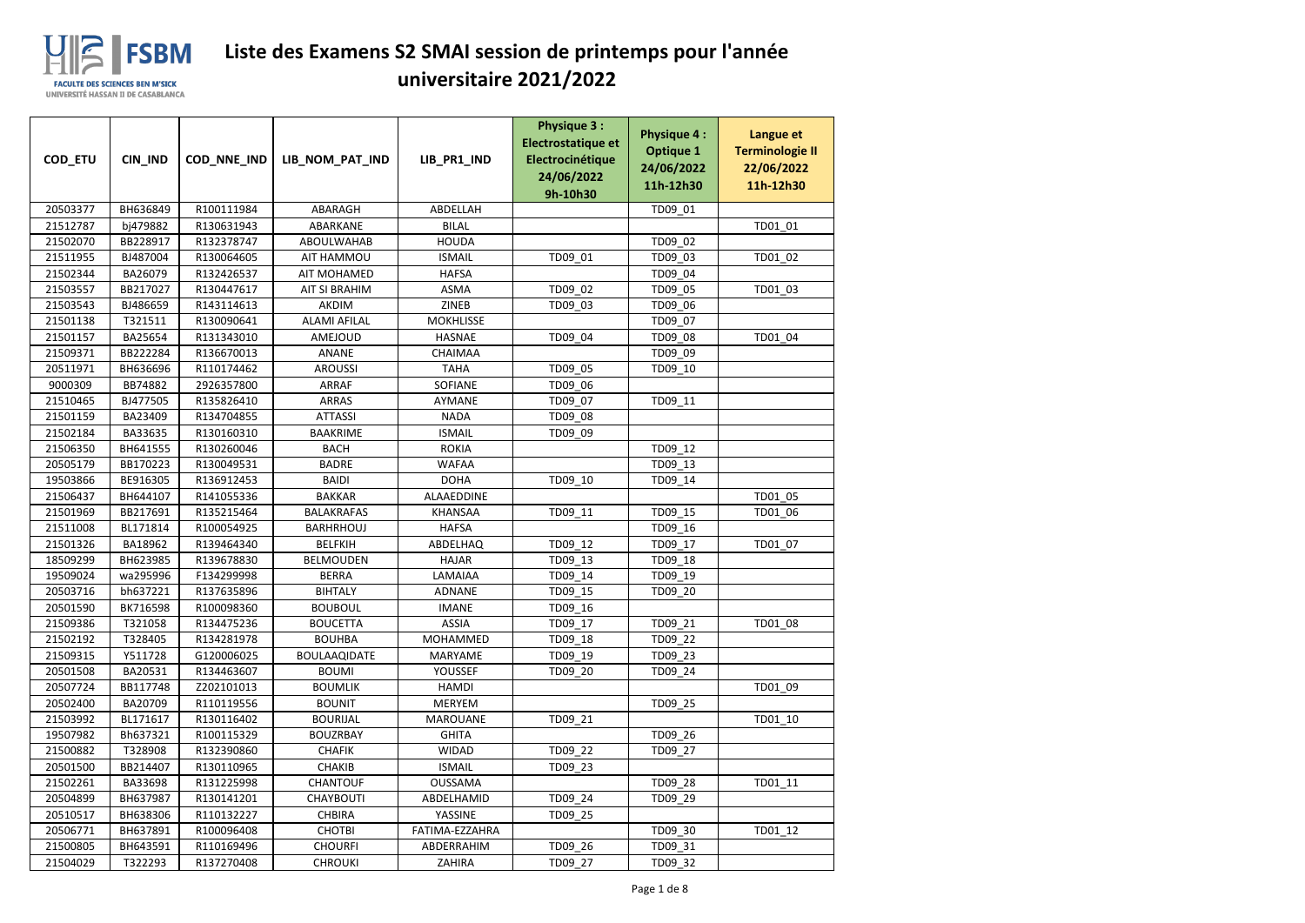| COD_ETU              | <b>CIN IND</b>       | COD_NNE_IND | LIB_NOM_PAT_IND              | LIB_PR1_IND                  | <b>Physique 3:</b><br>Electrostatique et<br>Electrocinétique<br>24/06/2022 | <b>Physique 4:</b><br><b>Optique 1</b><br>24/06/2022 | Langue et<br><b>Terminologie II</b><br>22/06/2022 |
|----------------------|----------------------|-------------|------------------------------|------------------------------|----------------------------------------------------------------------------|------------------------------------------------------|---------------------------------------------------|
|                      |                      |             |                              |                              | 9h-10h30                                                                   | 11h-12h30                                            | 11h-12h30                                         |
| 20503377             | BH636849             | R100111984  | ABARAGH                      | ABDELLAH                     |                                                                            | TD09_01                                              |                                                   |
| 21512787             | bj479882             | R130631943  | ABARKANE                     | <b>BILAL</b>                 |                                                                            |                                                      | TD01_01                                           |
| 21502070             | BB228917             | R132378747  | ABOULWAHAB                   | <b>HOUDA</b>                 |                                                                            | TD09_02                                              |                                                   |
| 21511955             | BJ487004             | R130064605  | AIT HAMMOU                   | <b>ISMAIL</b>                | TD09_01                                                                    | TD09_03                                              | TD01 02                                           |
| 21502344             | BA26079              | R132426537  | AIT MOHAMED                  | <b>HAFSA</b>                 |                                                                            | TD09_04                                              |                                                   |
| 21503557             | BB217027             | R130447617  | <b>AIT SI BRAHIM</b>         | ASMA                         | TD09_02                                                                    | TD09_05                                              | TD01_03                                           |
| 21503543             | BJ486659             | R143114613  | <b>AKDIM</b>                 | <b>ZINEB</b>                 | TD09_03                                                                    | TD09_06                                              |                                                   |
| 21501138             | T321511              | R130090641  | <b>ALAMI AFILAL</b>          | <b>MOKHLISSE</b>             |                                                                            | TD09_07                                              |                                                   |
| 21501157             | BA25654              | R131343010  | AMEJOUD                      | <b>HASNAE</b>                | TD09_04                                                                    | TD09_08                                              | TD01_04                                           |
| 21509371             | BB222284             | R136670013  | ANANE                        | CHAIMAA                      |                                                                            | TD09_09                                              |                                                   |
| 20511971             | BH636696             | R110174462  | <b>AROUSSI</b>               | <b>TAHA</b>                  | TD09_05                                                                    | TD09_10                                              |                                                   |
| 9000309              | BB74882              | 2926357800  | <b>ARRAF</b>                 | SOFIANE                      | TD09_06                                                                    |                                                      |                                                   |
| 21510465             | BJ477505             | R135826410  | <b>ARRAS</b>                 | AYMANE                       | TD09 07                                                                    | TD09_11                                              |                                                   |
| 21501159             | BA23409              | R134704855  | <b>ATTASSI</b>               | <b>NADA</b>                  | TD09_08                                                                    |                                                      |                                                   |
| 21502184             | BA33635              | R130160310  | <b>BAAKRIME</b>              | <b>ISMAIL</b>                | TD09_09                                                                    |                                                      |                                                   |
| 21506350             | BH641555             | R130260046  | <b>BACH</b>                  | <b>ROKIA</b>                 |                                                                            | TD09_12                                              |                                                   |
| 20505179             | BB170223             | R130049531  | <b>BADRE</b>                 | <b>WAFAA</b>                 |                                                                            | TD09_13                                              |                                                   |
| 19503866             | BE916305             | R136912453  | <b>BAIDI</b>                 | <b>DOHA</b>                  | TD09_10                                                                    | TD09_14                                              |                                                   |
| 21506437             | BH644107             | R141055336  | <b>BAKKAR</b>                | ALAAEDDINE                   |                                                                            |                                                      | TD01_05                                           |
| 21501969             | BB217691             | R135215464  | <b>BALAKRAFAS</b>            | <b>KHANSAA</b>               | TD09_11                                                                    | TD09_15                                              | TD01_06                                           |
| 21511008             | BL171814             | R100054925  | BARHRHOUJ                    | <b>HAFSA</b>                 |                                                                            | TD09_16                                              |                                                   |
| 21501326             | BA18962              | R139464340  | <b>BELFKIH</b>               | ABDELHAQ                     | TD09_12                                                                    | TD09_17                                              | TD01_07                                           |
| 18509299             | BH623985             | R139678830  | <b>BELMOUDEN</b>             | <b>HAJAR</b>                 | TD09_13                                                                    | TD09_18                                              |                                                   |
| 19509024             | wa295996             | F134299998  | <b>BERRA</b>                 | LAMAIAA                      | TD09_14                                                                    | TD09_19                                              |                                                   |
| 20503716             | bh637221             | R137635896  | <b>BIHTALY</b>               | ADNANE                       | TD09_15                                                                    | TD09_20                                              |                                                   |
| 20501590             | BK716598             | R100098360  | <b>BOUBOUL</b>               | <b>IMANE</b>                 | TD09_16                                                                    |                                                      |                                                   |
| 21509386             | T321058              | R134475236  | <b>BOUCETTA</b>              | <b>ASSIA</b>                 | TD09_17                                                                    | TD09_21                                              | TD01_08                                           |
| 21502192             | T328405              | R134281978  | <b>BOUHBA</b>                | MOHAMMED                     | TD09_18                                                                    | TD09 22                                              |                                                   |
| 21509315             | Y511728              | G120006025  | <b>BOULAAQIDATE</b>          | MARYAME                      | TD09_19                                                                    | TD09_23                                              |                                                   |
| 20501508             | BA20531              | R134463607  | <b>BOUMI</b>                 | <b>YOUSSEF</b>               | TD09_20                                                                    | TD09_24                                              |                                                   |
| 20507724             | BB117748             | Z202101013  | <b>BOUMLIK</b>               | <b>HAMDI</b>                 |                                                                            |                                                      | TD01_09                                           |
| 20502400             | BA20709              | R110119556  | <b>BOUNIT</b>                | <b>MERYEM</b>                |                                                                            | TD09_25                                              |                                                   |
| 21503992             | BL171617             | R130116402  | <b>BOURIJAL</b>              | <b>MAROUANE</b>              | TD09_21                                                                    | TD09 26                                              | TD01_10                                           |
| 19507982             | Bh637321             | R100115329  | <b>BOUZRBAY</b>              | <b>GHITA</b>                 |                                                                            |                                                      |                                                   |
| 21500882             | T328908              | R132390860  | <b>CHAFIK</b>                | <b>WIDAD</b>                 | TD09_22                                                                    | TD09_27                                              |                                                   |
| 20501500             | BB214407             | R130110965  | CHAKIB                       | <b>ISMAIL</b>                | TD09_23                                                                    |                                                      |                                                   |
| 21502261<br>20504899 | BA33698<br>BH637987  | R131225998  | CHANTOUF<br><b>CHAYBOUTI</b> | <b>OUSSAMA</b><br>ABDELHAMID |                                                                            | TD09_28                                              | TD01_11                                           |
|                      |                      | R130141201  |                              |                              | TD09_24                                                                    | TD09_29                                              |                                                   |
| 20510517<br>20506771 | BH638306<br>BH637891 | R110132227  | <b>CHBIRA</b>                | YASSINE                      | TD09_25                                                                    |                                                      | TD01 12                                           |
|                      |                      | R100096408  | <b>CHOTBI</b>                | FATIMA-EZZAHRA               |                                                                            | TD09_30                                              |                                                   |
| 21500805             | BH643591             | R110169496  | <b>CHOURFI</b>               | ABDERRAHIM                   | TD09_26                                                                    | TD09_31                                              |                                                   |
| 21504029             | T322293              | R137270408  | <b>CHROUKI</b>               | ZAHIRA                       | TD09_27                                                                    | TD09_32                                              |                                                   |

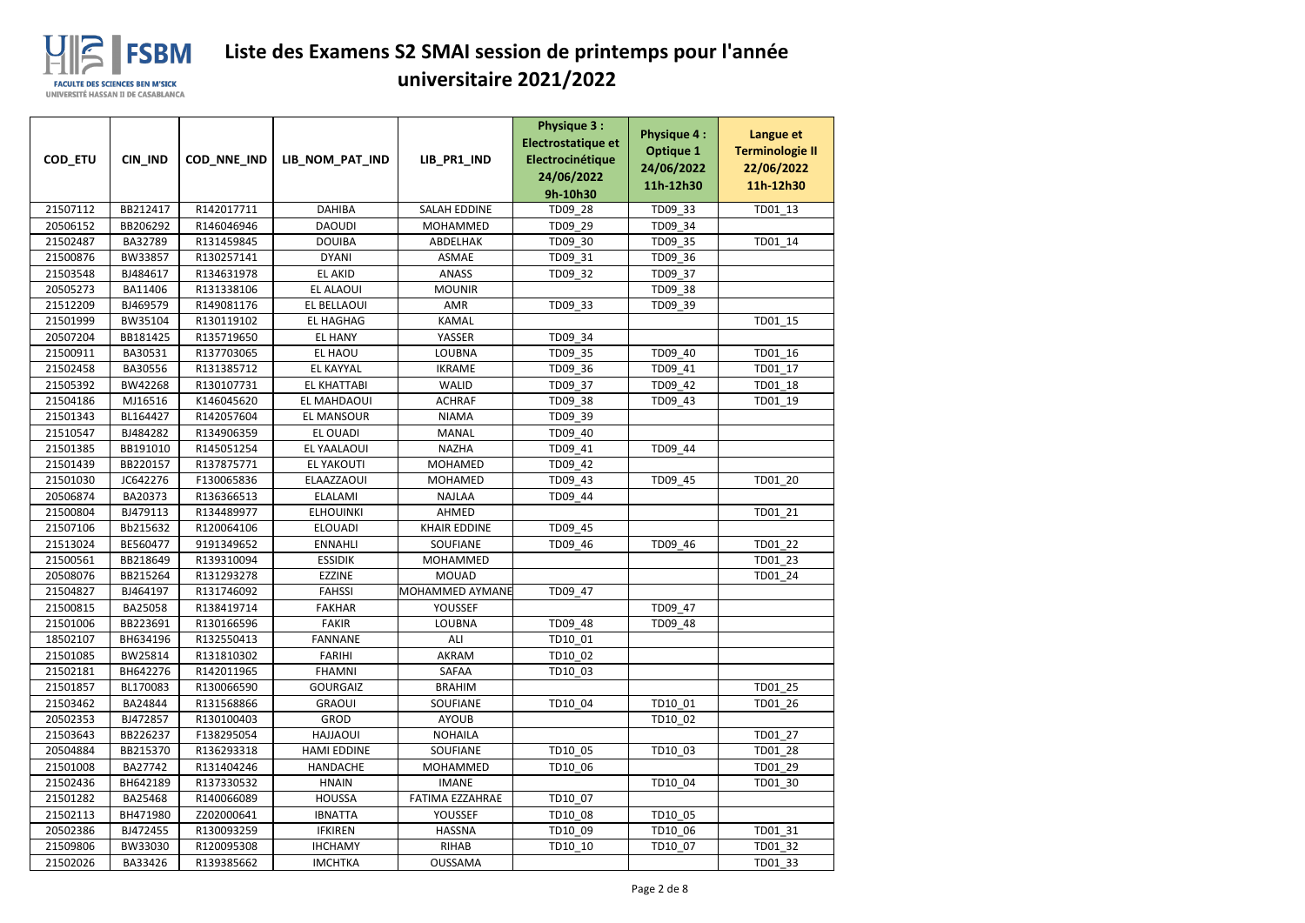

|                      |                     |                          |                               |                          | <b>Physique 3:</b><br>Electrostatique et | <b>Physique 4:</b> | Langue et              |
|----------------------|---------------------|--------------------------|-------------------------------|--------------------------|------------------------------------------|--------------------|------------------------|
| COD_ETU              | CIN_IND             | COD_NNE_IND              | LIB_NOM_PAT_IND               | LIB_PR1_IND              | Electrocinétique                         | <b>Optique 1</b>   | <b>Terminologie II</b> |
|                      |                     |                          |                               |                          | 24/06/2022                               | 24/06/2022         | 22/06/2022             |
|                      |                     |                          |                               |                          | 9h-10h30                                 | 11h-12h30          | 11h-12h30              |
| 21507112             | BB212417            | R142017711               | <b>DAHIBA</b>                 | <b>SALAH EDDINE</b>      | TD09 28                                  | TD09 33            | TD01_13                |
| 20506152             | BB206292            | R146046946               | <b>DAOUDI</b>                 | <b>MOHAMMED</b>          | TD09_29                                  | TD09_34            |                        |
| 21502487             | BA32789             | R131459845               | <b>DOUIBA</b>                 | ABDELHAK                 | TD09_30                                  | TD09_35            | TD01_14                |
| 21500876             | BW33857             | R130257141               | <b>DYANI</b>                  | <b>ASMAE</b>             | TD09_31                                  | TD09_36            |                        |
| 21503548             | BJ484617            | R134631978               | EL AKID                       | <b>ANASS</b>             | TD09_32                                  | TD09_37            |                        |
| 20505273             | BA11406             | R131338106               | EL ALAOUI                     | <b>MOUNIR</b>            |                                          | TD09_38            |                        |
| 21512209             | BJ469579            | R149081176               | EL BELLAOUI                   | AMR                      | TD09_33                                  | TD09_39            |                        |
| 21501999             | BW35104             | R130119102               | EL HAGHAG                     | <b>KAMAL</b>             |                                          |                    | TD01_15                |
| 20507204             | BB181425            | R135719650               | <b>EL HANY</b>                | YASSER                   | TD09_34                                  |                    |                        |
| 21500911             | BA30531             | R137703065               | EL HAOU                       | <b>LOUBNA</b>            | TD09_35                                  | TD09_40            | TD01_16                |
| 21502458             | BA30556             | R131385712               | <b>EL KAYYAL</b>              | <b>IKRAME</b>            | TD09_36                                  | TD09_41            | TD01_17                |
| 21505392             | BW42268             | R130107731               | <b>EL KHATTABI</b>            | <b>WALID</b>             | TD09_37                                  | TD09_42            | TD01_18                |
| 21504186             | MJ16516             | K146045620               | EL MAHDAOUI                   | <b>ACHRAF</b>            | TD09_38                                  | TD09_43            | TD01_19                |
| 21501343             | BL164427            | R142057604               | <b>EL MANSOUR</b>             | <b>NIAMA</b>             | TD09_39                                  |                    |                        |
| 21510547             | BJ484282            | R134906359               | EL OUADI                      | MANAL                    | TD09_40                                  |                    |                        |
| 21501385             | BB191010            | R145051254               | EL YAALAOUI                   | <b>NAZHA</b>             | TD09_41                                  | TD09_44            |                        |
| 21501439             | BB220157            | R137875771               | <b>EL YAKOUTI</b>             | <b>MOHAMED</b>           | TD09_42                                  |                    |                        |
| 21501030             | JC642276            | F130065836               | ELAAZZAOUI                    | <b>MOHAMED</b>           | TD09_43                                  | TD09_45            | TD01_20                |
| 20506874             | BA20373             | R136366513               | <b>ELALAMI</b>                | <b>NAJLAA</b>            | TD09_44                                  |                    |                        |
| 21500804             | BJ479113            | R134489977               | <b>ELHOUINKI</b>              | AHMED                    |                                          |                    | TD01_21                |
| 21507106             | Bb215632            | R120064106               | <b>ELOUADI</b>                | <b>KHAIR EDDINE</b>      | TD09_45                                  |                    |                        |
| 21513024             | BE560477            | 9191349652               | <b>ENNAHLI</b>                | SOUFIANE                 | TD09_46                                  | TD09_46            | TD01_22                |
| 21500561             | BB218649            | R139310094               | <b>ESSIDIK</b>                | MOHAMMED                 |                                          |                    | TD01 23                |
| 20508076             | BB215264            | R131293278               | <b>EZZINE</b>                 | <b>MOUAD</b>             |                                          |                    | TD01_24                |
| 21504827             | BJ464197            | R131746092               | <b>FAHSSI</b>                 | MOHAMMED AYMANE          | TD09_47                                  |                    |                        |
| 21500815<br>21501006 | BA25058<br>BB223691 | R138419714<br>R130166596 | <b>FAKHAR</b><br><b>FAKIR</b> | YOUSSEF<br><b>LOUBNA</b> | TD09_48                                  | TD09_47            |                        |
| 18502107             | BH634196            | R132550413               | <b>FANNANE</b>                | ALI                      | TD10 01                                  | TD09_48            |                        |
| 21501085             | BW25814             | R131810302               | <b>FARIHI</b>                 | AKRAM                    | TD10_02                                  |                    |                        |
| 21502181             | BH642276            | R142011965               | <b>FHAMNI</b>                 | SAFAA                    | TD10_03                                  |                    |                        |
| 21501857             | BL170083            | R130066590               | <b>GOURGAIZ</b>               | <b>BRAHIM</b>            |                                          |                    | TD01_25                |
| 21503462             | BA24844             | R131568866               | <b>GRAOUI</b>                 | <b>SOUFIANE</b>          | TD10 04                                  | TD10 01            | TD01 26                |
| 20502353             | BJ472857            | R130100403               | <b>GROD</b>                   | <b>AYOUB</b>             |                                          | TD10_02            |                        |
| 21503643             | BB226237            | F138295054               | <b>HAJJAOUI</b>               | <b>NOHAILA</b>           |                                          |                    | TD01 27                |
| 20504884             | BB215370            | R136293318               | <b>HAMI EDDINE</b>            | SOUFIANE                 | TD10_05                                  | TD10 03            | TD01 28                |
| 21501008             | BA27742             | R131404246               | <b>HANDACHE</b>               | MOHAMMED                 | TD10 06                                  |                    | TD01 29                |
| 21502436             | BH642189            | R137330532               | <b>HNAIN</b>                  | <b>IMANE</b>             |                                          | TD10_04            | TD01_30                |
| 21501282             | BA25468             | R140066089               | <b>HOUSSA</b>                 | FATIMA EZZAHRAE          | TD10_07                                  |                    |                        |
| 21502113             | BH471980            | Z202000641               | <b>IBNATTA</b>                | YOUSSEF                  | TD10_08                                  | TD10 05            |                        |
| 20502386             | BJ472455            | R130093259               | <b>IFKIREN</b>                | <b>HASSNA</b>            | TD10_09                                  | TD10_06            | TD01_31                |
| 21509806             | BW33030             | R120095308               | <b>IHCHAMY</b>                | RIHAB                    | TD10_10                                  | TD10_07            | TD01 32                |
| 21502026             | BA33426             | R139385662               | <b>IMCHTKA</b>                | <b>OUSSAMA</b>           |                                          |                    | TD01_33                |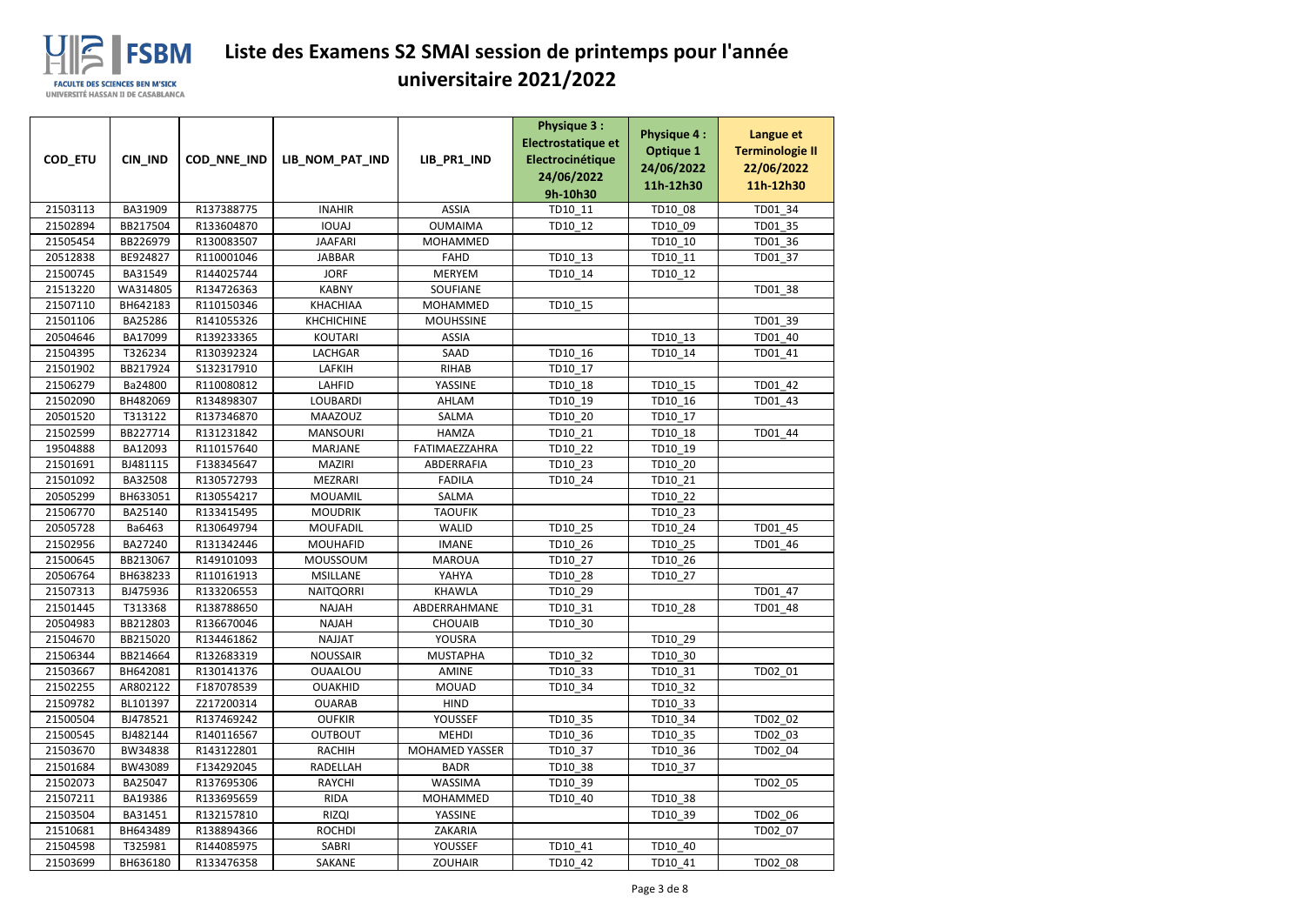

| COD_ETU              | CIN_IND              | COD_NNE_IND              | LIB_NOM_PAT_IND             | LIB_PR1_IND            | <b>Physique 3:</b><br>Electrostatique et<br>Electrocinétique<br>24/06/2022 | <b>Physique 4:</b><br><b>Optique 1</b><br>24/06/2022 | Langue et<br><b>Terminologie II</b><br>22/06/2022 |
|----------------------|----------------------|--------------------------|-----------------------------|------------------------|----------------------------------------------------------------------------|------------------------------------------------------|---------------------------------------------------|
|                      |                      |                          |                             |                        | 9h-10h30                                                                   | 11h-12h30                                            | 11h-12h30                                         |
| 21503113             | BA31909              | R137388775               | <b>INAHIR</b>               | <b>ASSIA</b>           | TD10 11                                                                    | TD10 08                                              | TD01_34                                           |
| 21502894             | BB217504             | R133604870               | <b>IOUAJ</b>                | <b>OUMAIMA</b>         | TD10_12                                                                    | TD10_09                                              | TD01_35                                           |
| 21505454             | BB226979             | R130083507               | <b>JAAFARI</b>              | MOHAMMED               |                                                                            | TD10_10                                              | TD01_36                                           |
| 20512838             | BE924827             | R110001046               | <b>JABBAR</b>               | <b>FAHD</b>            | TD10_13                                                                    | TD10_11                                              | TD01_37                                           |
| 21500745             | BA31549              | R144025744               | <b>JORF</b>                 | <b>MERYEM</b>          | TD10_14                                                                    | TD10_12                                              |                                                   |
| 21513220             | WA314805             | R134726363               | <b>KABNY</b>                | SOUFIANE               |                                                                            |                                                      | TD01_38                                           |
| 21507110             | BH642183             | R110150346               | <b>KHACHIAA</b>             | MOHAMMED               | TD10_15                                                                    |                                                      |                                                   |
| 21501106             | BA25286              | R141055326               | <b>KHCHICHINE</b>           | <b>MOUHSSINE</b>       |                                                                            |                                                      | TD01_39                                           |
| 20504646             | BA17099              | R139233365               | <b>KOUTARI</b>              | <b>ASSIA</b>           |                                                                            | TD10_13                                              | TD01_40                                           |
| 21504395             | T326234              | R130392324               | LACHGAR                     | SAAD                   | TD10_16                                                                    | TD10_14                                              | TD01_41                                           |
| 21501902             | BB217924             | S132317910               | LAFKIH                      | <b>RIHAB</b>           | TD10_17                                                                    |                                                      |                                                   |
| 21506279             | Ba24800              | R110080812               | LAHFID                      | YASSINE                | TD10_18                                                                    | TD10 15                                              | TD01_42                                           |
| 21502090             | BH482069             | R134898307               | <b>LOUBARDI</b>             | AHLAM                  | TD10_19                                                                    | TD10_16                                              | TD01_43                                           |
| 20501520             | T313122              | R137346870               | <b>MAAZOUZ</b>              | SALMA                  | TD10_20                                                                    | TD10_17                                              |                                                   |
| 21502599             | BB227714             | R131231842               | <b>MANSOURI</b>             | <b>HAMZA</b>           | TD10_21                                                                    | TD10_18                                              | TD01_44                                           |
| 19504888             | BA12093              | R110157640               | <b>MARJANE</b>              | FATIMAEZZAHRA          | TD10_22                                                                    | TD10_19                                              |                                                   |
| 21501691             | BJ481115             | F138345647               | <b>MAZIRI</b>               | ABDERRAFIA             | TD10_23                                                                    | TD10_20                                              |                                                   |
| 21501092             | BA32508              | R130572793               | <b>MEZRARI</b>              | <b>FADILA</b>          | TD10_24                                                                    | TD10_21                                              |                                                   |
| 20505299             | BH633051             | R130554217               | <b>MOUAMIL</b>              | SALMA                  |                                                                            | TD10_22                                              |                                                   |
| 21506770             | BA25140              | R133415495               | <b>MOUDRIK</b>              | <b>TAOUFIK</b>         |                                                                            | TD10_23                                              |                                                   |
| 20505728             | Ba6463               | R130649794               | <b>MOUFADIL</b>             | <b>WALID</b>           | TD10_25                                                                    | TD10_24                                              | TD01_45                                           |
| 21502956             | BA27240              | R131342446               | <b>MOUHAFID</b>             | <b>IMANE</b>           | TD10_26                                                                    | TD10_25                                              | TD01_46                                           |
| 21500645<br>20506764 | BB213067<br>BH638233 | R149101093<br>R110161913 | MOUSSOUM<br><b>MSILLANE</b> | <b>MAROUA</b><br>YAHYA | TD10_27<br>TD10_28                                                         | TD10_26                                              |                                                   |
| 21507313             | BJ475936             | R133206553               | <b>NAITQORRI</b>            | <b>KHAWLA</b>          | TD10_29                                                                    | TD10_27                                              | TD01_47                                           |
| 21501445             | T313368              | R138788650               | NAJAH                       | ABDERRAHMANE           | TD10_31                                                                    | TD10_28                                              | TD01_48                                           |
| 20504983             | BB212803             | R136670046               | <b>NAJAH</b>                | <b>CHOUAIB</b>         | TD10 30                                                                    |                                                      |                                                   |
| 21504670             | BB215020             | R134461862               | NAJJAT                      | YOUSRA                 |                                                                            | TD10_29                                              |                                                   |
| 21506344             | BB214664             | R132683319               | <b>NOUSSAIR</b>             | <b>MUSTAPHA</b>        | TD10_32                                                                    | TD10_30                                              |                                                   |
| 21503667             | BH642081             | R130141376               | OUAALOU                     | AMINE                  | TD10_33                                                                    | TD10_31                                              | TD02 01                                           |
| 21502255             | AR802122             | F187078539               | <b>OUAKHID</b>              | <b>MOUAD</b>           | TD10_34                                                                    | TD10_32                                              |                                                   |
| 21509782             | BL101397             | Z217200314               | <b>OUARAB</b>               | <b>HIND</b>            |                                                                            | TD10_33                                              |                                                   |
| 21500504             | BJ478521             | R137469242               | <b>OUFKIR</b>               | <b>YOUSSEF</b>         | TD10_35                                                                    | TD10_34                                              | TD02_02                                           |
| 21500545             | BJ482144             | R140116567               | <b>OUTBOUT</b>              | MEHDI                  | TD10_36                                                                    | TD10_35                                              | TD02_03                                           |
| 21503670             | BW34838              | R143122801               | RACHIH                      | <b>MOHAMED YASSER</b>  | TD10_37                                                                    | TD10_36                                              | TD02 04                                           |
| 21501684             | BW43089              | F134292045               | RADELLAH                    | <b>BADR</b>            | TD10_38                                                                    | TD10_37                                              |                                                   |
| 21502073             | BA25047              | R137695306               | RAYCHI                      | <b>WASSIMA</b>         | TD10_39                                                                    |                                                      | TD02_05                                           |
| 21507211             | BA19386              | R133695659               | <b>RIDA</b>                 | MOHAMMED               | TD10_40                                                                    | TD10_38                                              |                                                   |
| 21503504             | BA31451              | R132157810               | <b>RIZQI</b>                | YASSINE                |                                                                            | TD10_39                                              | TD02_06                                           |
| 21510681             | BH643489             | R138894366               | <b>ROCHDI</b>               | ZAKARIA                |                                                                            |                                                      | TD02 07                                           |
| 21504598             | T325981              | R144085975               | SABRI                       | YOUSSEF                | TD10_41                                                                    | TD10_40                                              |                                                   |
| 21503699             | BH636180             | R133476358               | SAKANE                      | <b>ZOUHAIR</b>         | TD10_42                                                                    | TD10_41                                              | TD02_08                                           |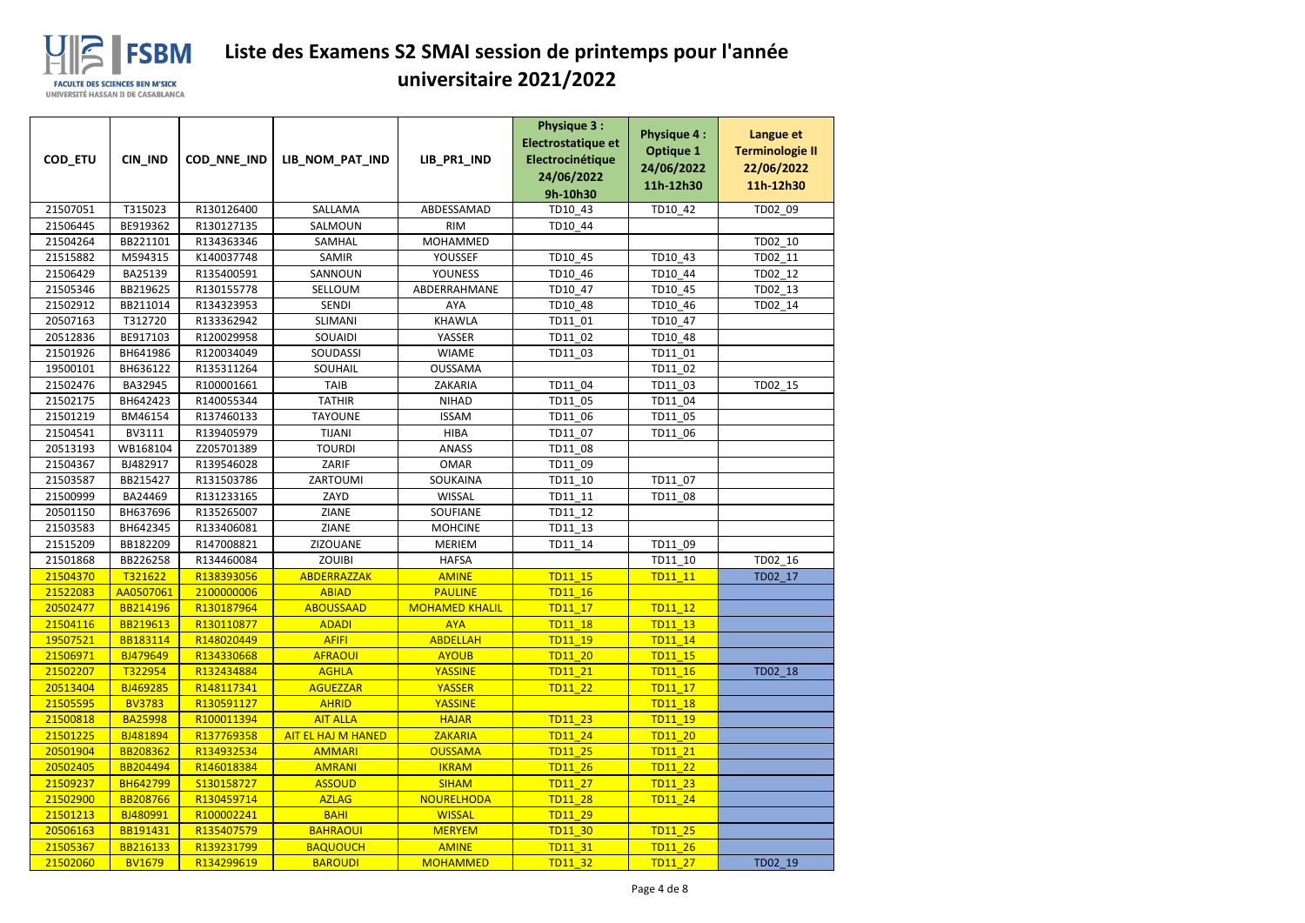

| COD_ETU              | CIN_IND              | COD_NNE_IND              | LIB_NOM_PAT_IND           | LIB_PR1_IND                   | <b>Physique 3:</b><br>Electrostatique et<br>Electrocinétique<br>24/06/2022 | <b>Physique 4:</b><br><b>Optique 1</b><br>24/06/2022 | Langue et<br><b>Terminologie II</b><br>22/06/2022 |
|----------------------|----------------------|--------------------------|---------------------------|-------------------------------|----------------------------------------------------------------------------|------------------------------------------------------|---------------------------------------------------|
|                      |                      |                          |                           |                               | 9h-10h30                                                                   | 11h-12h30                                            | 11h-12h30                                         |
| 21507051             | T315023              | R130126400               | SALLAMA                   | ABDESSAMAD                    | TD10 43                                                                    | TD10_42                                              | TD02_09                                           |
| 21506445             | BE919362             | R130127135               | SALMOUN                   | <b>RIM</b>                    | TD10_44                                                                    |                                                      |                                                   |
| 21504264             | BB221101             | R134363346               | SAMHAL                    | MOHAMMED                      |                                                                            |                                                      | TD02_10                                           |
| 21515882             | M594315              | K140037748               | SAMIR                     | YOUSSEF                       | TD10_45                                                                    | TD10_43                                              | TD02 11                                           |
| 21506429             | BA25139              | R135400591               | SANNOUN                   | <b>YOUNESS</b>                | TD10_46                                                                    | TD10_44                                              | TD02_12                                           |
| 21505346             | BB219625             | R130155778               | SELLOUM                   | ABDERRAHMANE                  | TD10_47                                                                    | TD10_45                                              | TD02_13                                           |
| 21502912             | BB211014             | R134323953               | <b>SENDI</b>              | <b>AYA</b>                    | TD10_48                                                                    | TD10_46                                              | TD02_14                                           |
| 20507163             | T312720              | R133362942               | SLIMANI                   | <b>KHAWLA</b>                 | TD11 01                                                                    | TD10_47                                              |                                                   |
| 20512836             | BE917103             | R120029958               | SOUAIDI                   | YASSER                        | TD11_02                                                                    | TD10_48                                              |                                                   |
| 21501926             | BH641986             | R120034049               | SOUDASSI                  | <b>WIAME</b>                  | TD11_03                                                                    | TD11_01                                              |                                                   |
| 19500101             | BH636122             | R135311264               | SOUHAIL                   | <b>OUSSAMA</b>                |                                                                            | TD11_02                                              |                                                   |
| 21502476             | BA32945              | R100001661               | <b>TAIB</b>               | ZAKARIA                       | TD11_04                                                                    | TD11_03                                              | TD02_15                                           |
| 21502175             | BH642423             | R140055344               | <b>TATHIR</b>             | <b>NIHAD</b>                  | TD11_05                                                                    | TD11_04                                              |                                                   |
| 21501219             | BM46154              | R137460133               | <b>TAYOUNE</b>            | <b>ISSAM</b>                  | TD11_06                                                                    | TD11_05                                              |                                                   |
| 21504541             | BV3111               | R139405979               | <b>TIJANI</b>             | <b>HIBA</b>                   | TD11_07                                                                    | TD11_06                                              |                                                   |
| 20513193             | WB168104             | Z205701389               | <b>TOURDI</b>             | <b>ANASS</b>                  | TD11_08                                                                    |                                                      |                                                   |
| 21504367             | BJ482917             | R139546028               | ZARIF                     | <b>OMAR</b>                   | TD11_09                                                                    |                                                      |                                                   |
| 21503587             | BB215427             | R131503786               | ZARTOUMI                  | SOUKAINA                      | TD11_10                                                                    | TD11_07                                              |                                                   |
| 21500999             | BA24469              | R131233165               | ZAYD                      | WISSAL                        | TD11_11                                                                    | TD11_08                                              |                                                   |
| 20501150             | BH637696             | R135265007               | ZIANE                     | SOUFIANE                      | TD11_12                                                                    |                                                      |                                                   |
| 21503583             | BH642345<br>BB182209 | R133406081<br>R147008821 | <b>ZIANE</b>              | <b>MOHCINE</b>                | TD11_13                                                                    | TD11 09                                              |                                                   |
| 21515209<br>21501868 | BB226258             | R134460084               | ZIZOUANE<br><b>ZOUIBI</b> | <b>MERIEM</b><br><b>HAFSA</b> | TD11_14                                                                    |                                                      | TD02_16                                           |
| 21504370             | T321622              | R138393056               | ABDERRAZZAK               | <b>AMINE</b>                  | <b>TD11 15</b>                                                             | TD11_10<br>TD11 11                                   | TD02_17                                           |
| 21522083             | AA0507061            | 2100000006               | <b>ABIAD</b>              | <b>PAULINE</b>                | <b>TD11 16</b>                                                             |                                                      |                                                   |
| 20502477             | BB214196             | R130187964               | <b>ABOUSSAAD</b>          | <b>MOHAMED KHALIL</b>         | TD11_17                                                                    | TD11 12                                              |                                                   |
| 21504116             | BB219613             | R130110877               | <b>ADADI</b>              | <b>AYA</b>                    | <b>TD11 18</b>                                                             | <b>TD11 13</b>                                       |                                                   |
| 19507521             | BB183114             | R148020449               | <b>AFIFI</b>              | <b>ABDELLAH</b>               | TD11 19                                                                    | TD11 14                                              |                                                   |
| 21506971             | BJ479649             | R134330668               | <b>AFRAOUI</b>            | <b>AYOUB</b>                  | <b>TD11 20</b>                                                             | TD11_15                                              |                                                   |
| 21502207             | T322954              | R132434884               | <b>AGHLA</b>              | <b>YASSINE</b>                | TD11 21                                                                    | <b>TD11 16</b>                                       | TD02_18                                           |
| 20513404             | BJ469285             | R148117341               | <b>AGUEZZAR</b>           | <b>YASSER</b>                 | <b>TD11 22</b>                                                             | TD11 17                                              |                                                   |
| 21505595             | <b>BV3783</b>        | R130591127               | <b>AHRID</b>              | <b>YASSINE</b>                |                                                                            | <b>TD11 18</b>                                       |                                                   |
| 21500818             | <b>BA25998</b>       | R100011394               | <b>AIT ALLA</b>           | <b>HAJAR</b>                  | <b>TD11 23</b>                                                             | TD11 19                                              |                                                   |
| 21501225             | BJ481894             | R137769358               | <b>AIT EL HAJ M HANED</b> | <b>ZAKARIA</b>                | <b>TD11 24</b>                                                             | <b>TD11 20</b>                                       |                                                   |
| 20501904             | BB208362             | R134932534               | <b>AMMARI</b>             | <b>OUSSAMA</b>                | <b>TD11 25</b>                                                             | TD11 21                                              |                                                   |
| 20502405             | BB204494             | R146018384               | <b>AMRANI</b>             | <b>IKRAM</b>                  | <b>TD11 26</b>                                                             | <b>TD11 22</b>                                       |                                                   |
| 21509237             | <b>BH642799</b>      | S130158727               | <b>ASSOUD</b>             | <b>SIHAM</b>                  | <b>TD11 27</b>                                                             | <b>TD11 23</b>                                       |                                                   |
| 21502900             | <b>BB208766</b>      | R130459714               | <b>AZLAG</b>              | <b>NOURELHODA</b>             | <b>TD11 28</b>                                                             | <b>TD11 24</b>                                       |                                                   |
| 21501213             | BJ480991             | R100002241               | <b>BAHI</b>               | <b>WISSAL</b>                 | <b>TD11 29</b>                                                             |                                                      |                                                   |
| 20506163             | BB191431             | R135407579               | <b>BAHRAOUI</b>           | <b>MERYEM</b>                 | <b>TD11 30</b>                                                             | TD11 25                                              |                                                   |
| 21505367             | <b>BB216133</b>      | R139231799               | <b>BAQUOUCH</b>           | <b>AMINE</b>                  | TD11 31                                                                    | <b>TD11 26</b>                                       |                                                   |
| 21502060             | <b>BV1679</b>        | R134299619               | <b>BAROUDI</b>            | <b>MOHAMMED</b>               | <b>TD11 32</b>                                                             | TD11_27                                              | TD02_19                                           |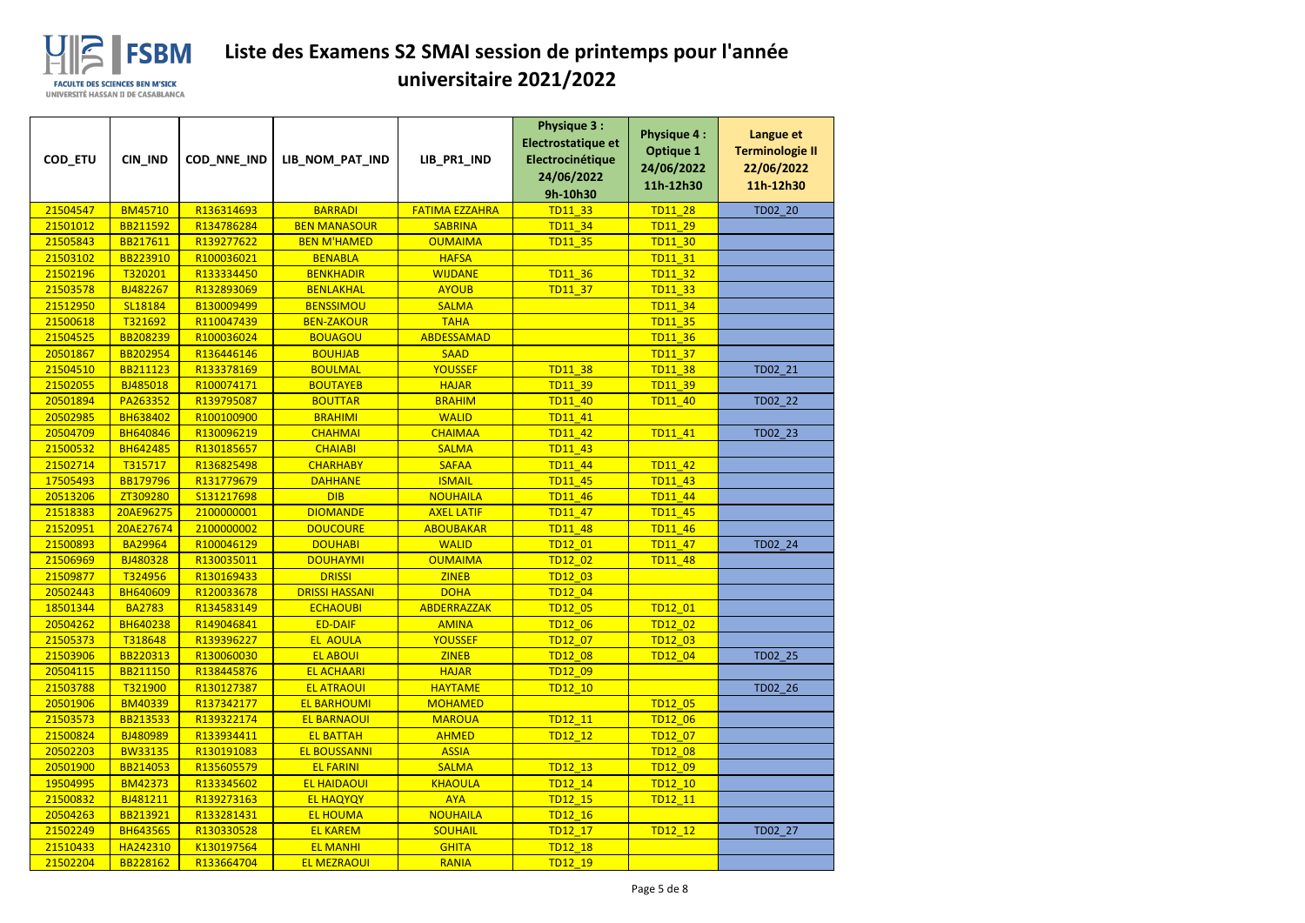

| COD_ETU              | CIN_IND                    | COD_NNE_IND              | LIB_NOM_PAT_IND                        | LIB_PR1_IND                 | <b>Physique 3:</b><br>Electrostatique et<br>Electrocinétique<br>24/06/2022<br>9h-10h30 | <b>Physique 4:</b><br><b>Optique 1</b><br>24/06/2022<br>11h-12h30 | Langue et<br><b>Terminologie II</b><br>22/06/2022<br>11h-12h30 |
|----------------------|----------------------------|--------------------------|----------------------------------------|-----------------------------|----------------------------------------------------------------------------------------|-------------------------------------------------------------------|----------------------------------------------------------------|
| 21504547             | <b>BM45710</b>             | R136314693               | <b>BARRADI</b>                         | <b>FATIMA EZZAHRA</b>       | <b>TD11 33</b>                                                                         | <b>TD11 28</b>                                                    | TD02_20                                                        |
| 21501012             | BB211592                   | R134786284               | <b>BEN MANASOUR</b>                    | <b>SABRINA</b>              | TD11 34                                                                                | TD11 29                                                           |                                                                |
| 21505843             | BB217611                   | R139277622               | <b>BEN M'HAMED</b>                     | <b>OUMAIMA</b>              | <b>TD11_35</b>                                                                         | TD11_30                                                           |                                                                |
| 21503102             | BB223910                   | R100036021               | <b>BENABLA</b>                         | <b>HAFSA</b>                |                                                                                        | TD11 31                                                           |                                                                |
| 21502196             | T320201                    | R133334450               | <b>BENKHADIR</b>                       | <b>WIJDANE</b>              | <b>TD11 36</b>                                                                         | TD11_32                                                           |                                                                |
| 21503578             | BJ482267                   | R132893069               | <b>BENLAKHAL</b>                       | <b>AYOUB</b>                | TD11_37                                                                                | <b>TD11_33</b>                                                    |                                                                |
| 21512950             | SL18184                    | B130009499               | <b>BENSSIMOU</b>                       | <b>SALMA</b>                |                                                                                        | TD11 34                                                           |                                                                |
| 21500618             | T321692                    | R110047439               | <b>BEN-ZAKOUR</b>                      | <b>TAHA</b>                 |                                                                                        | <b>TD11 35</b>                                                    |                                                                |
| 21504525             | BB208239                   | R100036024               | <b>BOUAGOU</b>                         | <b>ABDESSAMAD</b>           |                                                                                        | <b>TD11 36</b>                                                    |                                                                |
| 20501867             | BB202954                   | R136446146               | <b>BOUHJAB</b>                         | <b>SAAD</b>                 |                                                                                        | <b>TD11 37</b>                                                    |                                                                |
| 21504510             | BB211123                   | R133378169               | <b>BOULMAL</b>                         | <b>YOUSSEF</b>              | <b>TD11 38</b>                                                                         | <b>TD11 38</b>                                                    | TD02_21                                                        |
| 21502055             | BJ485018                   | R100074171               | <b>BOUTAYEB</b>                        | <b>HAJAR</b>                | <b>TD11 39</b>                                                                         | TD11_39                                                           |                                                                |
| 20501894             | PA263352                   | R139795087               | <b>BOUTTAR</b>                         | <b>BRAHIM</b>               | <b>TD11 40</b>                                                                         | TD11_40                                                           | TD02 22                                                        |
| 20502985             | <b>BH638402</b>            | R100100900               | <b>BRAHIMI</b>                         | <b>WALID</b>                | TD11 41                                                                                |                                                                   |                                                                |
| 20504709             | <b>BH640846</b>            | R130096219               | <b>CHAHMAI</b>                         | <b>CHAIMAA</b>              | TD11 42                                                                                | TD11_41                                                           | TD02 23                                                        |
| 21500532             | <b>BH642485</b>            | R130185657               | <b>CHAIABI</b>                         | <b>SALMA</b>                | <b>TD11 43</b>                                                                         |                                                                   |                                                                |
| 21502714             | T315717                    | R136825498               | <b>CHARHABY</b>                        | <b>SAFAA</b>                | TD11_44                                                                                | TD11_42                                                           |                                                                |
| 17505493             | <b>BB179796</b>            | R131779679               | <b>DAHHANE</b>                         | <b>ISMAIL</b>               | <b>TD11 45</b>                                                                         | TD11_43                                                           |                                                                |
| 20513206             | ZT309280                   | S131217698               | <b>DIB</b>                             | <b>NOUHAILA</b>             | TD11_46                                                                                | TD11_44                                                           |                                                                |
| 21518383             | 20AE96275                  | 2100000001               | <b>DIOMANDE</b>                        | <b>AXEL LATIF</b>           | <b>TD11 47</b>                                                                         | <b>TD11 45</b>                                                    |                                                                |
| 21520951             | 20AE27674                  | 2100000002               | <b>DOUCOURE</b>                        | <b>ABOUBAKAR</b>            | <b>TD11 48</b>                                                                         | TD11_46                                                           |                                                                |
| 21500893             | <b>BA29964</b>             | R100046129               | <b>DOUHABI</b>                         | <b>WALID</b>                | TD12 01                                                                                | TD11_47                                                           | TD02_24                                                        |
| 21506969             | BJ480328                   | R130035011               | <b>DOUHAYMI</b>                        | <b>OUMAIMA</b>              | TD12 02                                                                                | <b>TD11_48</b>                                                    |                                                                |
| 21509877<br>20502443 | T324956<br><b>BH640609</b> | R130169433<br>R120033678 | <b>DRISSI</b><br><b>DRISSI HASSANI</b> | <b>ZINEB</b><br><b>DOHA</b> | TD12 03                                                                                |                                                                   |                                                                |
| 18501344             | <b>BA2783</b>              | R134583149               | <b>ECHAOUBI</b>                        | ABDERRAZZAK                 | TD12_04<br>TD12_05                                                                     | TD12_01                                                           |                                                                |
| 20504262             | <b>BH640238</b>            | R149046841               | <b>ED-DAIF</b>                         | <b>AMINA</b>                | <b>TD12 06</b>                                                                         | TD12 02                                                           |                                                                |
| 21505373             | T318648                    | R139396227               | <b>EL AOULA</b>                        | <b>YOUSSEF</b>              | TD12 07                                                                                | TD12 03                                                           |                                                                |
| 21503906             | BB220313                   | R130060030               | <b>EL ABOUI</b>                        | <b>ZINEB</b>                | <b>TD12_08</b>                                                                         | TD12_04                                                           | TD02_25                                                        |
| 20504115             | BB211150                   | R138445876               | <b>EL ACHAARI</b>                      | <b>HAJAR</b>                | TD12 09                                                                                |                                                                   |                                                                |
| 21503788             | T321900                    | R130127387               | <b>EL ATRAOUI</b>                      | <b>HAYTAME</b>              | <b>TD12 10</b>                                                                         |                                                                   | TD02_26                                                        |
| 20501906             | <b>BM40339</b>             | R137342177               | <b>EL BARHOUMI</b>                     | <b>MOHAMED</b>              |                                                                                        | <b>TD12 05</b>                                                    |                                                                |
| 21503573             | BB213533                   | R139322174               | <b>EL BARNAOUI</b>                     | <b>MAROUA</b>               | TD12 11                                                                                | TD12_06                                                           |                                                                |
| 21500824             | BJ480989                   | R133934411               | <b>EL BATTAH</b>                       | <b>AHMED</b>                | TD12 12                                                                                | TD12 07                                                           |                                                                |
| 20502203             | <b>BW33135</b>             | R130191083               | <b>EL BOUSSANNI</b>                    | <b>ASSIA</b>                |                                                                                        | TD12_08                                                           |                                                                |
| 20501900             | BB214053                   | R135605579               | <b>EL FARINI</b>                       | <b>SALMA</b>                | TD12_13                                                                                | TD12_09                                                           |                                                                |
| 19504995             | <b>BM42373</b>             | R133345602               | <b>EL HAIDAOUI</b>                     | <b>KHAOULA</b>              | TD12 14                                                                                | TD12_10                                                           |                                                                |
| 21500832             | BJ481211                   | R139273163               | <b>EL HAQYQY</b>                       | <b>AYA</b>                  | TD12_15                                                                                | TD12_11                                                           |                                                                |
| 20504263             | BB213921                   | R133281431               | <b>EL HOUMA</b>                        | <b>NOUHAILA</b>             | <b>TD12 16</b>                                                                         |                                                                   |                                                                |
| 21502249             | <b>BH643565</b>            | R130330528               | <b>EL KAREM</b>                        | <b>SOUHAIL</b>              | TD12 17                                                                                | TD12 12                                                           | TD02 27                                                        |
| 21510433             | HA242310                   | K130197564               | <b>EL MANHI</b>                        | <b>GHITA</b>                | TD12_18                                                                                |                                                                   |                                                                |
| 21502204             | BB228162                   | R133664704               | <b>EL MEZRAOUI</b>                     | <b>RANIA</b>                | TD12 19                                                                                |                                                                   |                                                                |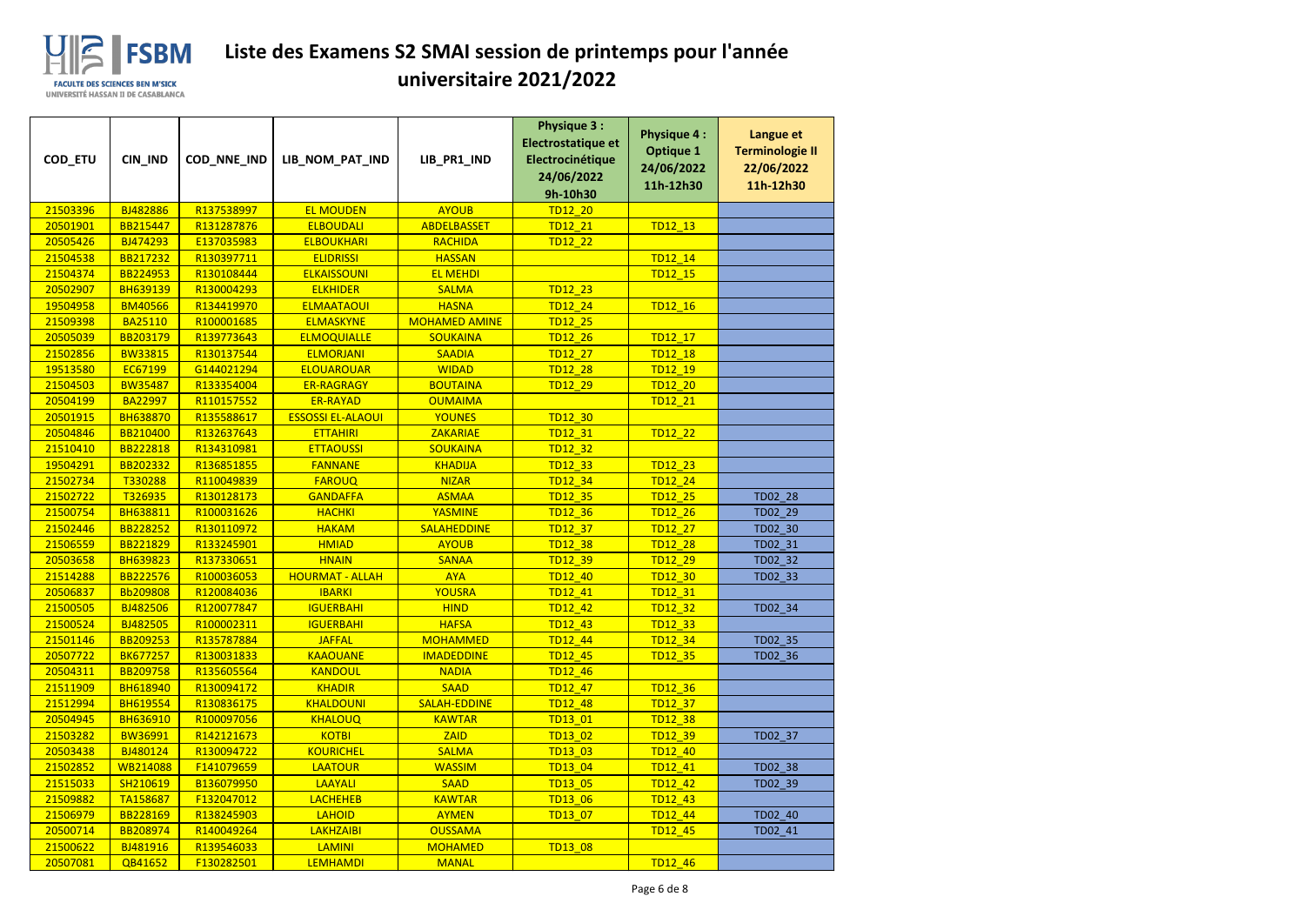

| COD_ETU              | CIN_IND                            | COD_NNE_IND              | LIB_NOM_PAT_IND                   | LIB_PR1_IND                          | <b>Physique 3:</b><br>Electrostatique et<br>Electrocinétique<br>24/06/2022<br>9h-10h30 | <b>Physique 4:</b><br><b>Optique 1</b><br>24/06/2022<br>11h-12h30 | Langue et<br><b>Terminologie II</b><br>22/06/2022<br>11h-12h30 |
|----------------------|------------------------------------|--------------------------|-----------------------------------|--------------------------------------|----------------------------------------------------------------------------------------|-------------------------------------------------------------------|----------------------------------------------------------------|
| 21503396             | BJ482886                           | R137538997               | <b>EL MOUDEN</b>                  | <b>AYOUB</b>                         | <b>TD12 20</b>                                                                         |                                                                   |                                                                |
| 20501901             | BB215447                           | R131287876               | <b>ELBOUDALI</b>                  | <b>ABDELBASSET</b>                   | TD12 21                                                                                | TD12 13                                                           |                                                                |
| 20505426             | BJ474293                           | E137035983               | <b>ELBOUKHARI</b>                 | <b>RACHIDA</b>                       | TD12_22                                                                                |                                                                   |                                                                |
| 21504538             | BB217232                           | R130397711               | <b>ELIDRISSI</b>                  | <b>HASSAN</b>                        |                                                                                        | TD12 14                                                           |                                                                |
| 21504374             | <b>BB224953</b>                    | R130108444               | <b>ELKAISSOUNI</b>                | <b>EL MEHDI</b>                      |                                                                                        | TD12_15                                                           |                                                                |
| 20502907             | <b>BH639139</b>                    | R130004293               | <b>ELKHIDER</b>                   | <b>SALMA</b>                         | TD12_23                                                                                |                                                                   |                                                                |
| 19504958             | <b>BM40566</b>                     | R134419970               | <b>ELMAATAOUI</b>                 | <b>HASNA</b>                         | TD12 24                                                                                | TD12 16                                                           |                                                                |
| 21509398             | <b>BA25110</b>                     | R100001685               | <b>ELMASKYNE</b>                  | <b>MOHAMED AMINE</b>                 | <b>TD12 25</b>                                                                         |                                                                   |                                                                |
| 20505039             | BB203179                           | R139773643               | <b>ELMOQUIALLE</b>                | <b>SOUKAINA</b>                      | TD12_26                                                                                | TD12_17                                                           |                                                                |
| 21502856             | <b>BW33815</b>                     | R130137544               | <b>ELMORJANI</b>                  | <b>SAADIA</b>                        | <b>TD12 27</b>                                                                         | TD12 18                                                           |                                                                |
| 19513580             | EC67199                            | G144021294               | <b>ELOUAROUAR</b>                 | <b>WIDAD</b>                         | <b>TD12 28</b>                                                                         | TD12 19                                                           |                                                                |
| 21504503             | <b>BW35487</b>                     | R133354004               | <b>ER-RAGRAGY</b>                 | <b>BOUTAINA</b>                      | <b>TD12 29</b>                                                                         | TD12_20                                                           |                                                                |
| 20504199             | <b>BA22997</b>                     | R110157552               | <b>ER-RAYAD</b>                   | <b>OUMAIMA</b>                       |                                                                                        | TD12 21                                                           |                                                                |
| 20501915             | <b>BH638870</b>                    | R135588617               | <b>ESSOSSI EL-ALAOUI</b>          | <b>YOUNES</b>                        | TD12_30                                                                                |                                                                   |                                                                |
| 20504846             | BB210400                           | R132637643               | <b>ETTAHIRI</b>                   | <b>ZAKARIAE</b>                      | TD12 31                                                                                | TD12_22                                                           |                                                                |
| 21510410             | BB222818                           | R134310981               | <b>ETTAOUSSI</b>                  | <b>SOUKAINA</b>                      | TD12 32                                                                                |                                                                   |                                                                |
| 19504291             | <b>BB202332</b>                    | R136851855               | <b>FANNANE</b>                    | <b>KHADIJA</b>                       | TD12_33                                                                                | TD12_23                                                           |                                                                |
| 21502734             | T330288                            | R110049839               | <b>FAROUQ</b>                     | <b>NIZAR</b>                         | TD12 34                                                                                | TD12 24                                                           |                                                                |
| 21502722             | T326935                            | R130128173               | <b>GANDAFFA</b>                   | <b>ASMAA</b>                         | TD12_35                                                                                | TD12_25                                                           | TD02_28                                                        |
| 21500754             | <b>BH638811</b>                    | R100031626               | <b>HACHKI</b>                     | <b>YASMINE</b>                       | <b>TD12 36</b>                                                                         | <b>TD12 26</b>                                                    | TD02 29                                                        |
| 21502446             | BB228252                           | R130110972               | <b>HAKAM</b>                      | <b>SALAHEDDINE</b>                   | <b>TD12 37</b>                                                                         | TD12 27                                                           | TD02_30                                                        |
| 21506559             | BB221829                           | R133245901               | <b>HMIAD</b>                      | <b>AYOUB</b>                         | TD12_38                                                                                | TD12_28                                                           | TD02_31                                                        |
| 20503658             | <b>BH639823</b>                    | R137330651               | <b>HNAIN</b>                      | <b>SANAA</b>                         | TD12 39                                                                                | TD12 29                                                           | TD02_32                                                        |
| 21514288             | <b>BB222576</b>                    | R100036053               | <b>HOURMAT - ALLAH</b>            | <b>AYA</b>                           | TD12 40                                                                                | TD12_30                                                           | TD02_33                                                        |
| 20506837             | Bb209808                           | R120084036               | <b>IBARKI</b>                     | <b>YOUSRA</b>                        | TD12_41                                                                                | TD12_31                                                           |                                                                |
| 21500505             | BJ482506                           | R120077847               | <b>IGUERBAHI</b>                  | <b>HIND</b>                          | TD12_42                                                                                | TD12 32                                                           | TD02_34                                                        |
| 21500524             | BJ482505                           | R100002311               | <b>IGUERBAHI</b>                  | <b>HAFSA</b>                         | TD12 43                                                                                | <b>TD12 33</b>                                                    |                                                                |
| 21501146             | BB209253                           | R135787884               | <b>JAFFAL</b>                     | <b>MOHAMMED</b>                      | TD12 44                                                                                | TD12 34                                                           | TD02_35                                                        |
| 20507722             | <b>BK677257</b>                    | R130031833               | <b>KAAOUANE</b>                   | <b>IMADEDDINE</b>                    | TD12_45                                                                                | TD12_35                                                           | TD02_36                                                        |
| 20504311             | BB209758                           | R135605564               | <b>KANDOUL</b>                    | <b>NADIA</b>                         | TD12_46                                                                                |                                                                   |                                                                |
| 21511909             | <b>BH618940</b>                    | R130094172<br>R130836175 | <b>KHADIR</b><br><b>KHALDOUNI</b> | <b>SAAD</b>                          | TD12_47                                                                                | TD12_36                                                           |                                                                |
| 21512994<br>20504945 | <b>BH619554</b><br><b>BH636910</b> | R100097056               | <b>KHALOUQ</b>                    | <b>SALAH-EDDINE</b><br><b>KAWTAR</b> | <b>TD12 48</b><br>TD13 01                                                              | TD12 37<br>TD12_38                                                |                                                                |
| 21503282             | <b>BW36991</b>                     | R142121673               | <b>KOTBI</b>                      | <b>ZAID</b>                          | TD13 02                                                                                |                                                                   |                                                                |
| 20503438             | BJ480124                           | R130094722               | <b>KOURICHEL</b>                  | <b>SALMA</b>                         | TD13 03                                                                                | TD12_39<br>TD12 40                                                | TD02_37                                                        |
| 21502852             | WB214088                           | F141079659               | <b>LAATOUR</b>                    | <b>WASSIM</b>                        | TD13_04                                                                                | TD12_41                                                           | TD02_38                                                        |
| 21515033             | SH210619                           | B136079950               | LAAYALI                           | <b>SAAD</b>                          | TD13 05                                                                                | TD12_42                                                           | TD02_39                                                        |
| 21509882             | TA158687                           | F132047012               | <b>LACHEHEB</b>                   | <b>KAWTAR</b>                        | TD13_06                                                                                | TD12_43                                                           |                                                                |
| 21506979             | BB228169                           | R138245903               | <b>LAHOID</b>                     | <b>AYMEN</b>                         | TD13 07                                                                                | TD12_44                                                           | TD02 40                                                        |
| 20500714             | BB208974                           | R140049264               | <b>LAKHZAIBI</b>                  | <b>OUSSAMA</b>                       |                                                                                        | TD12 45                                                           | TD02 41                                                        |
| 21500622             | BJ481916                           | R139546033               | <b>LAMINI</b>                     | <b>MOHAMED</b>                       | TD13_08                                                                                |                                                                   |                                                                |
| 20507081             | QB41652                            | F130282501               | <b>LEMHAMDI</b>                   | <b>MANAL</b>                         |                                                                                        | <b>TD12 46</b>                                                    |                                                                |
|                      |                                    |                          |                                   |                                      |                                                                                        |                                                                   |                                                                |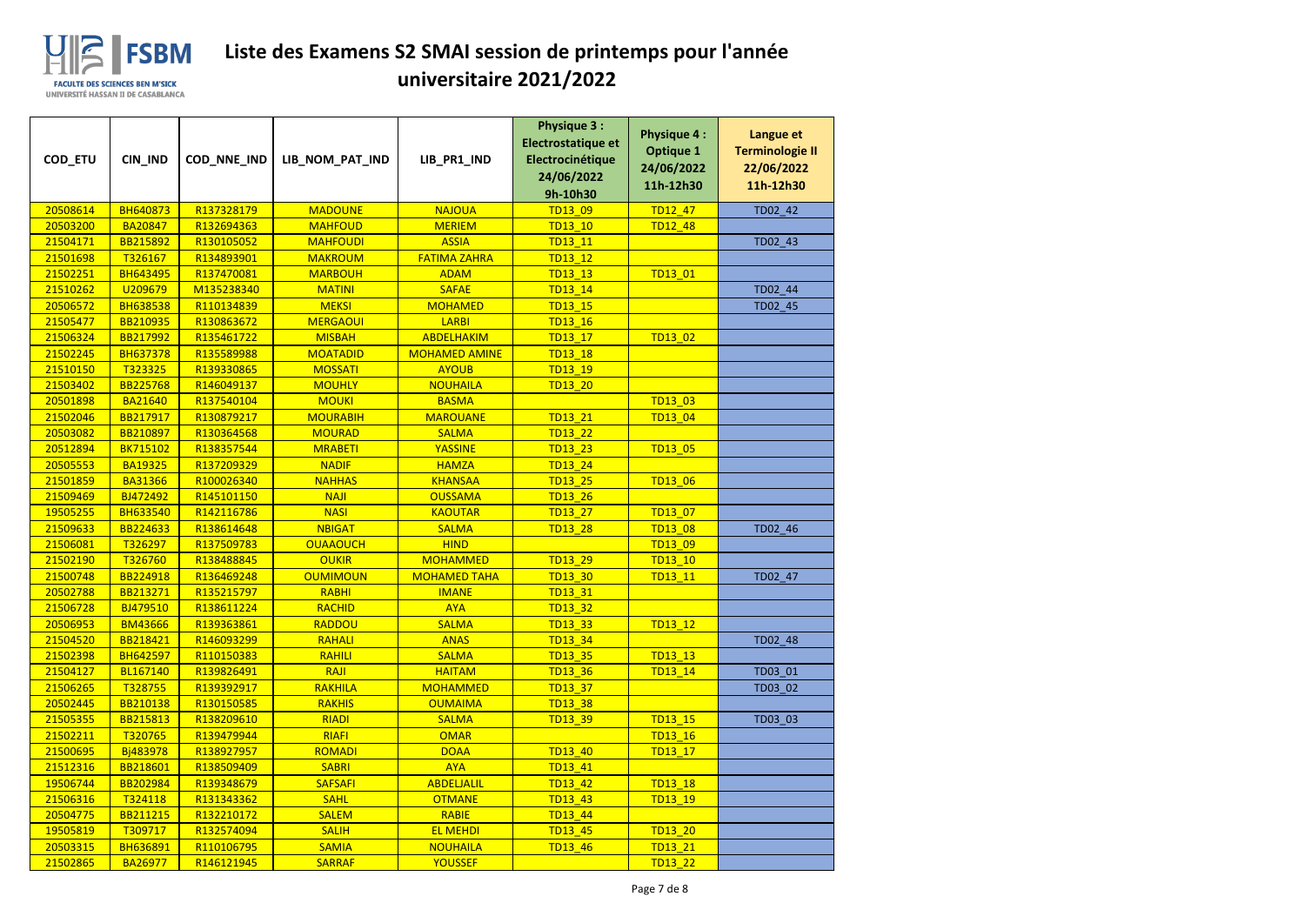

| COD_ETU              | CIN_IND              | COD_NNE_IND              | LIB_NOM_PAT_IND                 | LIB_PR1_IND                    | <b>Physique 3:</b><br>Electrostatique et<br>Electrocinétique<br>24/06/2022<br>9h-10h30 | <b>Physique 4:</b><br><b>Optique 1</b><br>24/06/2022<br>11h-12h30 | Langue et<br><b>Terminologie II</b><br>22/06/2022<br>11h-12h30 |
|----------------------|----------------------|--------------------------|---------------------------------|--------------------------------|----------------------------------------------------------------------------------------|-------------------------------------------------------------------|----------------------------------------------------------------|
| 20508614             | <b>BH640873</b>      | R137328179               | <b>MADOUNE</b>                  | <b>NAJOUA</b>                  | TD13 09                                                                                | <b>TD12 47</b>                                                    | TD02_42                                                        |
| 20503200             | <b>BA20847</b>       | R132694363               | <b>MAHFOUD</b>                  | <b>MERIEM</b>                  | TD13 10                                                                                | TD12_48                                                           |                                                                |
| 21504171             | BB215892             | R130105052               | <b>MAHFOUDI</b>                 | <b>ASSIA</b>                   | TD13_11                                                                                |                                                                   | TD02_43                                                        |
| 21501698             | T326167              | R134893901               | <b>MAKROUM</b>                  | <b>FATIMA ZAHRA</b>            | TD13 12                                                                                |                                                                   |                                                                |
| 21502251             | <b>BH643495</b>      | R137470081               | <b>MARBOUH</b>                  | <b>ADAM</b>                    | TD13 13                                                                                | TD13 01                                                           |                                                                |
| 21510262             | U209679              | M135238340               | <b>MATINI</b>                   | <b>SAFAE</b>                   | TD13_14                                                                                |                                                                   | TD02_44                                                        |
| 20506572             | <b>BH638538</b>      | R110134839               | <b>MEKSI</b>                    | <b>MOHAMED</b>                 | TD13 15                                                                                |                                                                   | TD02_45                                                        |
| 21505477             | BB210935             | R130863672               | <b>MERGAOUI</b>                 | <b>LARBI</b>                   | TD13_16                                                                                |                                                                   |                                                                |
| 21506324             | BB217992             | R135461722               | <b>MISBAH</b>                   | <b>ABDELHAKIM</b>              | TD13_17                                                                                | TD13_02                                                           |                                                                |
| 21502245             | <b>BH637378</b>      | R135589988               | <b>MOATADID</b>                 | <b>MOHAMED AMINE</b>           | <b>TD13 18</b>                                                                         |                                                                   |                                                                |
| 21510150             | T323325              | R139330865               | <b>MOSSATI</b>                  | <b>AYOUB</b>                   | TD13 19                                                                                |                                                                   |                                                                |
| 21503402             | <b>BB225768</b>      | R146049137               | <b>MOUHLY</b>                   | <b>NOUHAILA</b>                | <b>TD13 20</b>                                                                         |                                                                   |                                                                |
| 20501898             | <b>BA21640</b>       | R137540104               | <b>MOUKI</b>                    | <b>BASMA</b>                   |                                                                                        | TD13_03                                                           |                                                                |
| 21502046             | BB217917             | R130879217               | <b>MOURABIH</b>                 | <b>MAROUANE</b>                | TD13 21                                                                                | TD13_04                                                           |                                                                |
| 20503082             | BB210897             | R130364568               | <b>MOURAD</b>                   | <b>SALMA</b>                   | TD13_22                                                                                |                                                                   |                                                                |
| 20512894             | <b>BK715102</b>      | R138357544               | <b>MRABETI</b>                  | <b>YASSINE</b>                 | <b>TD13 23</b>                                                                         | TD13_05                                                           |                                                                |
| 20505553             | <b>BA19325</b>       | R137209329               | <b>NADIF</b>                    | <b>HAMZA</b>                   | TD13_24                                                                                |                                                                   |                                                                |
| 21501859             | <b>BA31366</b>       | R100026340               | <b>NAHHAS</b>                   | <b>KHANSAA</b>                 | TD13_25                                                                                | TD13_06                                                           |                                                                |
| 21509469             | BJ472492             | R145101150               | <b>NAJI</b>                     | <b>OUSSAMA</b>                 | <b>TD13 26</b>                                                                         |                                                                   |                                                                |
| 19505255             | <b>BH633540</b>      | R142116786               | <b>NASI</b>                     | <b>KAOUTAR</b>                 | <b>TD13 27</b>                                                                         | TD13 07                                                           |                                                                |
| 21509633             | BB224633             | R138614648               | <b>NBIGAT</b>                   | <b>SALMA</b>                   | <b>TD13_28</b>                                                                         | <b>TD13_08</b>                                                    | TD02_46                                                        |
| 21506081             | T326297              | R137509783               | <b>OUAAOUCH</b>                 | <b>HIND</b>                    |                                                                                        | TD13_09                                                           |                                                                |
| 21502190             | T326760              | R138488845               | <b>OUKIR</b>                    | <b>MOHAMMED</b>                | <b>TD13 29</b>                                                                         | TD13 10                                                           |                                                                |
| 21500748             | BB224918             | R136469248               | <b>OUMIMOUN</b>                 | <b>MOHAMED TAHA</b>            | TD13 30                                                                                | TD13 11                                                           | TD02 47                                                        |
| 20502788             | BB213271             | R135215797               | RABHI                           | <b>IMANE</b>                   | TD13_31                                                                                |                                                                   |                                                                |
| 21506728             | BJ479510             | R138611224               | <b>RACHID</b>                   | <b>AYA</b>                     | TD13_32                                                                                |                                                                   |                                                                |
| 20506953             | <b>BM43666</b>       | R139363861               | <b>RADDOU</b>                   | <b>SALMA</b>                   | <b>TD13 33</b>                                                                         | TD13 12                                                           |                                                                |
| 21504520             | BB218421             | R146093299               | <b>RAHALI</b>                   | <b>ANAS</b>                    | <b>TD13 34</b>                                                                         |                                                                   | TD02_48                                                        |
| 21502398             | <b>BH642597</b>      | R110150383               | <b>RAHILI</b>                   | <b>SALMA</b>                   | <b>TD13 35</b>                                                                         | TD13_13                                                           |                                                                |
| 21504127             | BL167140             | R139826491               | RAJI                            | <b>HAITAM</b>                  | TD13_36                                                                                | TD13_14                                                           | TD03 01                                                        |
| 21506265             | T328755              | R139392917               | <b>RAKHILA</b><br><b>RAKHIS</b> | <b>MOHAMMED</b>                | <b>TD13 37</b>                                                                         |                                                                   | TD03 02                                                        |
| 20502445<br>21505355 | BB210138<br>BB215813 | R130150585<br>R138209610 | <b>RIADI</b>                    | <b>OUMAIMA</b><br><b>SALMA</b> | <b>TD13 38</b><br>TD13_39                                                              | TD13 15                                                           | TD03 03                                                        |
| 21502211             | T320765              | R139479944               | <b>RIAFI</b>                    | <b>OMAR</b>                    |                                                                                        | TD13_16                                                           |                                                                |
| 21500695             | Bj483978             | R138927957               | <b>ROMADI</b>                   | <b>DOAA</b>                    | <b>TD13 40</b>                                                                         | TD13_17                                                           |                                                                |
| 21512316             | BB218601             | R138509409               | <b>SABRI</b>                    | <b>AYA</b>                     | TD13_41                                                                                |                                                                   |                                                                |
| 19506744             | BB202984             | R139348679               | <b>SAFSAFI</b>                  | <b>ABDELJALIL</b>              | <b>TD13 42</b>                                                                         | <b>TD13 18</b>                                                    |                                                                |
| 21506316             | T324118              | R131343362               | <b>SAHL</b>                     | <b>OTMANE</b>                  | <b>TD13 43</b>                                                                         | TD13 19                                                           |                                                                |
| 20504775             | BB211215             | R132210172               | <b>SALEM</b>                    | <b>RABIE</b>                   | TD13_44                                                                                |                                                                   |                                                                |
| 19505819             | T309717              | R132574094               | <b>SALIH</b>                    | <b>EL MEHDI</b>                | TD13_45                                                                                | <b>TD13 20</b>                                                    |                                                                |
| 20503315             | <b>BH636891</b>      | R110106795               | <b>SAMIA</b>                    | <b>NOUHAILA</b>                | TD13_46                                                                                | TD13_21                                                           |                                                                |
| 21502865             | <b>BA26977</b>       | R146121945               | <b>SARRAF</b>                   | YOUSSEF                        |                                                                                        | TD13_22                                                           |                                                                |
|                      |                      |                          |                                 |                                |                                                                                        |                                                                   |                                                                |